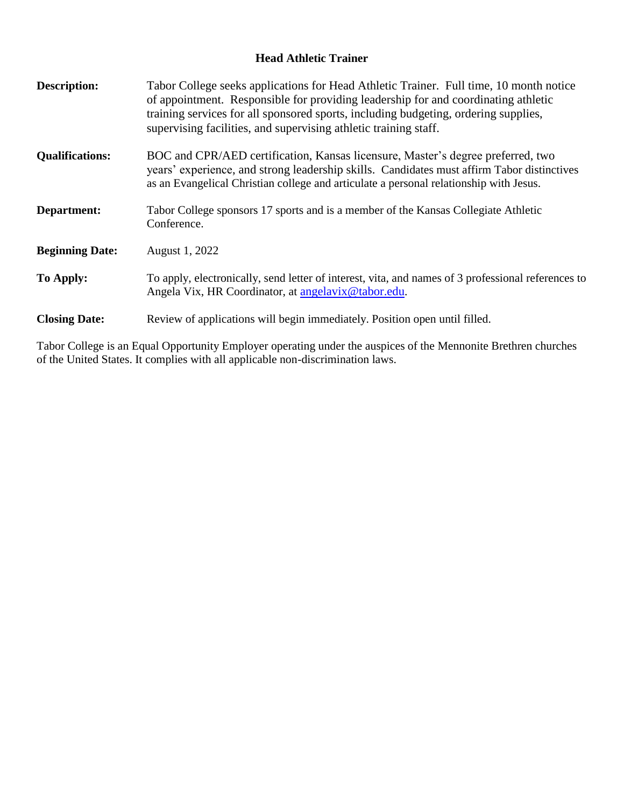## **Head Athletic Trainer**

| <b>Description:</b>    | Tabor College seeks applications for Head Athletic Trainer. Full time, 10 month notice<br>of appointment. Responsible for providing leadership for and coordinating athletic<br>training services for all sponsored sports, including budgeting, ordering supplies,<br>supervising facilities, and supervising athletic training staff. |
|------------------------|-----------------------------------------------------------------------------------------------------------------------------------------------------------------------------------------------------------------------------------------------------------------------------------------------------------------------------------------|
| <b>Qualifications:</b> | BOC and CPR/AED certification, Kansas licensure, Master's degree preferred, two<br>years' experience, and strong leadership skills. Candidates must affirm Tabor distinctives<br>as an Evangelical Christian college and articulate a personal relationship with Jesus.                                                                 |
| Department:            | Tabor College sponsors 17 sports and is a member of the Kansas Collegiate Athletic<br>Conference.                                                                                                                                                                                                                                       |
| <b>Beginning Date:</b> | August 1, 2022                                                                                                                                                                                                                                                                                                                          |
| To Apply:              | To apply, electronically, send letter of interest, vita, and names of 3 professional references to<br>Angela Vix, HR Coordinator, at angelavix @tabor.edu.                                                                                                                                                                              |
| <b>Closing Date:</b>   | Review of applications will begin immediately. Position open until filled.                                                                                                                                                                                                                                                              |
|                        |                                                                                                                                                                                                                                                                                                                                         |

Tabor College is an Equal Opportunity Employer operating under the auspices of the Mennonite Brethren churches of the United States. It complies with all applicable non-discrimination laws.